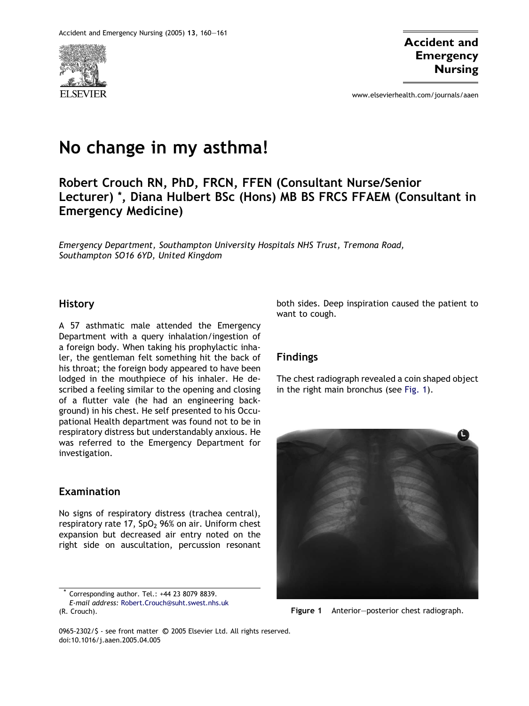

www.elsevierhealth.com/journals/aaen

# No change in my asthma!

# Robert Crouch RN, PhD, FRCN, FFEN (Consultant Nurse/Senior Lecturer) \*, Diana Hulbert BSc (Hons) MB BS FRCS FFAEM (Consultant in Emergency Medicine)

Emergency Department, Southampton University Hospitals NHS Trust, Tremona Road, Southampton SO16 6YD, United Kingdom

#### History

A 57 asthmatic male attended the Emergency Department with a query inhalation/ingestion of a foreign body. When taking his prophylactic inhaler, the gentleman felt something hit the back of his throat; the foreign body appeared to have been lodged in the mouthpiece of his inhaler. He described a feeling similar to the opening and closing of a flutter vale (he had an engineering background) in his chest. He self presented to his Occupational Health department was found not to be in respiratory distress but understandably anxious. He was referred to the Emergency Department for investigation.

#### Examination

No signs of respiratory distress (trachea central), respiratory rate 17,  $SpO<sub>2</sub>$  96% on air. Uniform chest expansion but decreased air entry noted on the right side on auscultation, percussion resonant

Corresponding author. Tel.: +44 23 8079 8839. E-mail address: [Robert.Crouch@suht.swest.nhs.uk](mailto:Robert.Crouch@suht.swest.nhs.uk) (R. Crouch).

both sides. Deep inspiration caused the patient to want to cough.

## Findings

The chest radiograph revealed a coin shaped object in the right main bronchus (see Fig. 1).



Figure 1 Anterior–posterior chest radiograph.

0965-2302/\$ - see front matter © 2005 Elsevier Ltd. All rights reserved. doi:10.1016/j.aaen.2005.04.005